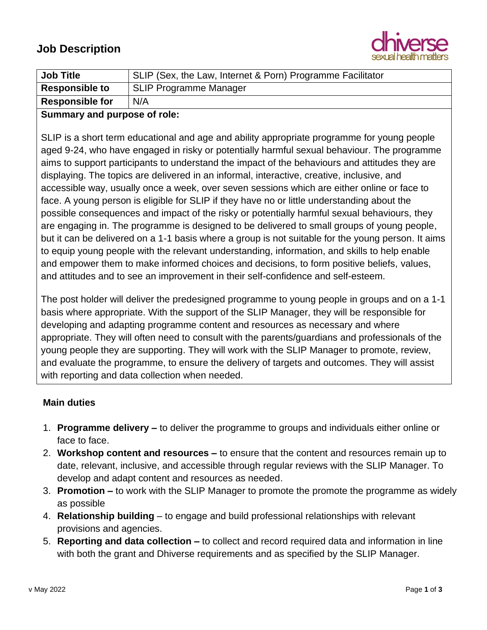

| <b>Job Title</b>       | SLIP (Sex, the Law, Internet & Porn) Programme Facilitator |
|------------------------|------------------------------------------------------------|
| <b>Responsible to</b>  | <b>SLIP Programme Manager</b>                              |
| <b>Responsible for</b> | N/A                                                        |

### **Summary and purpose of role:**

SLIP is a short term educational and age and ability appropriate programme for young people aged 9-24, who have engaged in risky or potentially harmful sexual behaviour. The programme aims to support participants to understand the impact of the behaviours and attitudes they are displaying. The topics are delivered in an informal, interactive, creative, inclusive, and accessible way, usually once a week, over seven sessions which are either online or face to face. A young person is eligible for SLIP if they have no or little understanding about the possible consequences and impact of the risky or potentially harmful sexual behaviours, they are engaging in. The programme is designed to be delivered to small groups of young people, but it can be delivered on a 1-1 basis where a group is not suitable for the young person. It aims to equip young people with the relevant understanding, information, and skills to help enable and empower them to make informed choices and decisions, to form positive beliefs, values, and attitudes and to see an improvement in their self-confidence and self-esteem.

The post holder will deliver the predesigned programme to young people in groups and on a 1-1 basis where appropriate. With the support of the SLIP Manager, they will be responsible for developing and adapting programme content and resources as necessary and where appropriate. They will often need to consult with the parents/guardians and professionals of the young people they are supporting. They will work with the SLIP Manager to promote, review, and evaluate the programme, to ensure the delivery of targets and outcomes. They will assist with reporting and data collection when needed.

### **Main duties**

- 1. **Programme delivery –** to deliver the programme to groups and individuals either online or face to face.
- 2. **Workshop content and resources –** to ensure that the content and resources remain up to date, relevant, inclusive, and accessible through regular reviews with the SLIP Manager. To develop and adapt content and resources as needed.
- 3. **Promotion –** to work with the SLIP Manager to promote the promote the programme as widely as possible
- 4. **Relationship building** to engage and build professional relationships with relevant provisions and agencies.
- 5. **Reporting and data collection –** to collect and record required data and information in line with both the grant and Dhiverse requirements and as specified by the SLIP Manager.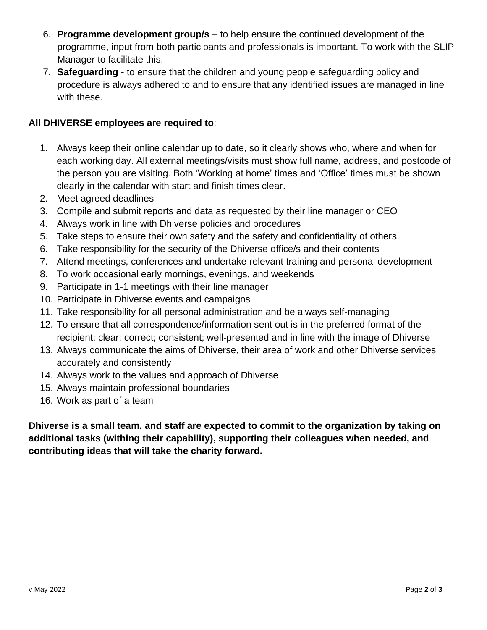- 6. **Programme development group/s** to help ensure the continued development of the programme, input from both participants and professionals is important. To work with the SLIP Manager to facilitate this.
- 7. **Safeguarding** to ensure that the children and young people safeguarding policy and procedure is always adhered to and to ensure that any identified issues are managed in line with these.

## **All DHIVERSE employees are required to**:

- 1. Always keep their online calendar up to date, so it clearly shows who, where and when for each working day. All external meetings/visits must show full name, address, and postcode of the person you are visiting. Both 'Working at home' times and 'Office' times must be shown clearly in the calendar with start and finish times clear.
- 2. Meet agreed deadlines
- 3. Compile and submit reports and data as requested by their line manager or CEO
- 4. Always work in line with Dhiverse policies and procedures
- 5. Take steps to ensure their own safety and the safety and confidentiality of others.
- 6. Take responsibility for the security of the Dhiverse office/s and their contents
- 7. Attend meetings, conferences and undertake relevant training and personal development
- 8. To work occasional early mornings, evenings, and weekends
- 9. Participate in 1-1 meetings with their line manager
- 10. Participate in Dhiverse events and campaigns
- 11. Take responsibility for all personal administration and be always self-managing
- 12. To ensure that all correspondence/information sent out is in the preferred format of the recipient; clear; correct; consistent; well-presented and in line with the image of Dhiverse
- 13. Always communicate the aims of Dhiverse, their area of work and other Dhiverse services accurately and consistently
- 14. Always work to the values and approach of Dhiverse
- 15. Always maintain professional boundaries
- 16. Work as part of a team

**Dhiverse is a small team, and staff are expected to commit to the organization by taking on additional tasks (withing their capability), supporting their colleagues when needed, and contributing ideas that will take the charity forward.**